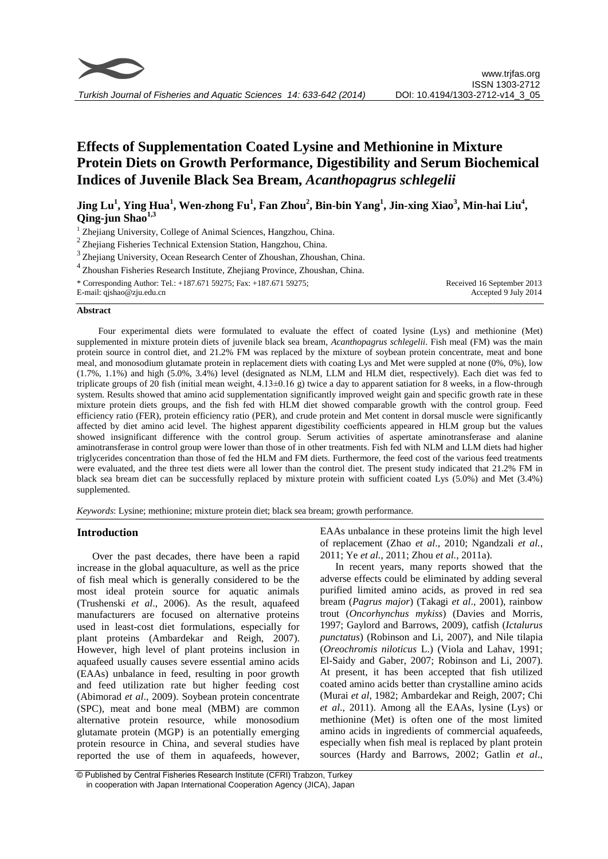

# **Effects of Supplementation Coated Lysine and Methionine in Mixture Protein Diets on Growth Performance, Digestibility and Serum Biochemical Indices of Juvenile Black Sea Bream,** *Acanthopagrus schlegelii*

**Jing Lu<sup>1</sup> , Ying Hua<sup>1</sup> , Wen-zhong Fu<sup>1</sup> , Fan Zhou<sup>2</sup> , Bin-bin Yang<sup>1</sup> , Jin-xing Xiao<sup>3</sup> , Min-hai Liu<sup>4</sup> , Qing-jun Shao1,3**

<sup>1</sup> Zhejiang University, College of Animal Sciences, Hangzhou, China.

2 Zhejiang Fisheries Technical Extension Station, Hangzhou, China.

<sup>3</sup> Zhejiang University, Ocean Research Center of Zhoushan, Zhoushan, China.

<sup>4</sup>Zhoushan Fisheries Research Institute, Zhejiang Province, Zhoushan, China. \* Corresponding Author: Tel.: +187.671 59275; Fax: +187.671 59275;

E-mail: qjshao@zju.edu.cn

Received 16 September 2013 Accepted 9 July 2014

#### **Abstract**

Four experimental diets were formulated to evaluate the effect of coated lysine (Lys) and methionine (Met) supplemented in mixture protein diets of juvenile black sea bream, *Acanthopagrus schlegelii*. Fish meal (FM) was the main protein source in control diet, and 21.2% FM was replaced by the mixture of soybean protein concentrate, meat and bone meal, and monosodium glutamate protein in replacement diets with coating Lys and Met were suppled at none (0%, 0%), low (1.7%, 1.1%) and high (5.0%, 3.4%) level (designated as NLM, LLM and HLM diet, respectively). Each diet was fed to triplicate groups of 20 fish (initial mean weight,  $\overline{4.13\pm0.16}$  g) twice a day to apparent satiation for 8 weeks, in a flow-through system. Results showed that amino acid supplementation significantly improved weight gain and specific growth rate in these mixture protein diets groups, and the fish fed with HLM diet showed comparable growth with the control group. Feed efficiency ratio (FER), protein efficiency ratio (PER), and crude protein and Met content in dorsal muscle were significantly affected by diet amino acid level. The highest apparent digestibility coefficients appeared in HLM group but the values showed insignificant difference with the control group. Serum activities of aspertate aminotransferase and alanine aminotransferase in control group were lower than those of in other treatments. Fish fed with NLM and LLM diets had higher triglycerides concentration than those of fed the HLM and FM diets. Furthermore, the feed cost of the various feed treatments were evaluated, and the three test diets were all lower than the control diet. The present study indicated that 21.2% FM in black sea bream diet can be successfully replaced by mixture protein with sufficient coated Lys (5.0%) and Met (3.4%) supplemented.

*Keywords*: Lysine; methionine; mixture protein diet; black sea bream; growth performance.

# **Introduction**

Over the past decades, there have been a rapid increase in the global aquaculture, as well as the price of fish meal which is generally considered to be the most ideal protein source for aquatic animals [\(Trushenski](#page-9-0) *et al*., 2006). As the result, aquafeed manufacturers are focused on alternative proteins used in least-cost diet formulations, [especially](app:ds:especially) for plant proteins [\(Ambardekar and](#page-7-0) Reigh, 2007). However, high level of plant proteins inclusion in aquafeed usually causes severe essential amino acids (EAAs) unbalance in feed, resulting in poor growth and feed utilization rate but higher feeding cost [\(Abimorad](#page-7-1) *et al*., 2009). Soybean protein concentrate (SPC), meat and bone meal (MBM) are common alternative protein resource, while monosodium glutamate protein (MGP) is an potentially emerging protein resource in China, and several studies have reported the use of them in aquafeeds, however, EAAs unbalance in these proteins limit the high level of replacement (Zhao *et al*., 2010; Ngandzali *et al.*, 2011; Ye *et al.*, 2011; Zhou *et al.*, 2011a).

In recent years, many reports showed that the adverse effects could be eliminated by adding several purified limited amino acids, as proved in red sea bream (*Pagrus major*) [\(Takagi](#page-8-0) *et al*., 2001), rainbow trout (*Oncorhynchus mykiss*) [\(Davies and Morris,](#page-7-2)  [1997;](#page-7-2) [Gaylord and Barrows, 2009\)](#page-7-3), catfish (*Ictalurus punctatus*) (Robinson and Li, 2007), and Nile tilapia (*Oreochromis niloticus* L.) [\(Viola and Lahav, 1991;](#page-9-1) [El-Saidy and Gaber, 2007;](#page-7-4) [Robinson and Li, 2007\)](#page-8-1). At present, it has been accepted that fish utilized coated amino acids better than crystalline amino acids [\(Murai](#page-8-2) *et al*, 1982; [Ambardekar and Reigh, 2007;](#page-7-0) [Chi](#page-7-5)  *et al*[., 2011\)](#page-7-5). Among all the EAAs, lysine (Lys) or methionine (Met) is often one of the most limited amino acids in ingredients of commercial aquafeeds, especially when fish meal is replaced by plant protein sources [\(Hardy and Barrows, 2002;](#page-7-1) [Gatlin](#page-7-6) *et al*.,

<sup>©</sup> Published by Central Fisheries Research Institute (CFRI) Trabzon, Turkey in cooperation with Japan International Cooperation Agency (JICA), Japan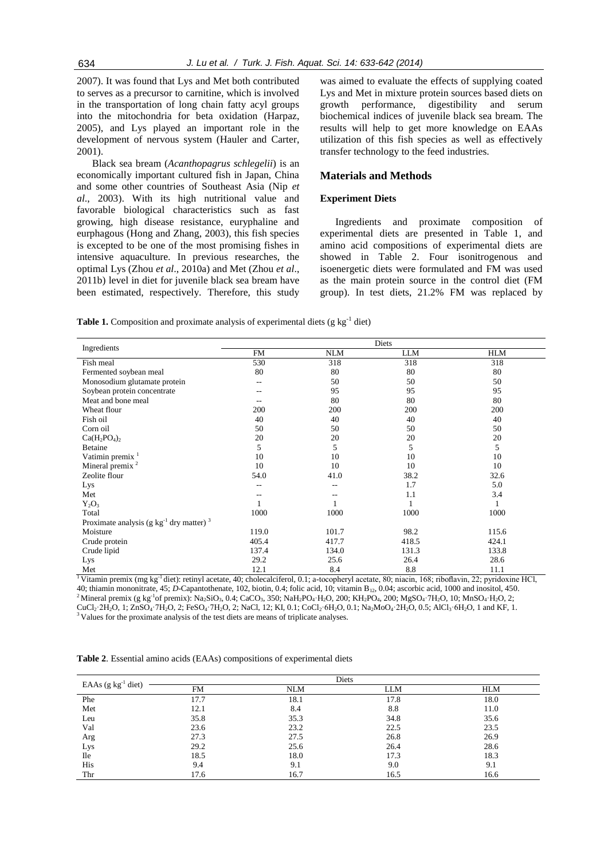[2007\)](#page-7-6). It was found that Lys and Met both contributed to serves as a precursor to carnitine, which is involved in the transportation of long chain fatty acyl groups into the mitochondria for beta oxidation [\(Harpaz,](#page-8-3)  [2005\)](#page-8-3), and Lys played an important role in the development of nervous system [\(Hauler and Carter,](#page-8-4)  [2001\)](#page-8-4).

Black sea bream (*Acanthopagrus schlegelii*) is an economically important cultured fish in Japan, China and some other countries of Southeast Asia [\(Nip](#page-8-5) *et al*[., 2003\)](#page-8-5). With its high nutritional value and favorable biological characteristics such as fast growing, high disease resistance, euryphaline and eurphagous [\(Hong and Zhang, 2003\)](#page-8-6), this fish species is excepted to be one of the most promising fishes in intensive aquaculture. In previous researches, the optimal Lys (Zhou *et al*., 2010a) and Met (Zhou *et al*., 2011b) level in diet for juvenile black sea bream have been estimated, respectively. Therefore, this study

was aimed to evaluate the effects of supplying coated Lys and Met in mixture protein sources based diets on growth performance, digestibility and serum biochemical indices of juvenile black sea bream. The results will help to get more knowledge on EAAs utilization of this fish species as well as effectively transfer technology to the feed industries.

# **Materials and Methods**

## **Experiment Diets**

Ingredients and proximate composition of experimental diets are presented in Table 1, and amino acid compositions of experimental diets are showed in Table 2. Four isonitrogenous and isoenergetic diets were formulated and FM was used as the main protein source in the control diet (FM group). In test diets, 21.2% FM was replaced by

Table 1. Composition and proximate analysis of experimental diets (g kg<sup>-1</sup> diet)

| Ingredients                                              |       |            | <b>Diets</b> |            |
|----------------------------------------------------------|-------|------------|--------------|------------|
|                                                          | FM    | <b>NLM</b> | <b>LLM</b>   | <b>HLM</b> |
| Fish meal                                                | 530   | 318        | 318          | 318        |
| Fermented soybean meal                                   | 80    | 80         | 80           | 80         |
| Monosodium glutamate protein                             | $-$   | 50         | 50           | 50         |
| Soybean protein concentrate                              | --    | 95         | 95           | 95         |
| Meat and bone meal                                       |       | 80         | 80           | 80         |
| Wheat flour                                              | 200   | 200        | 200          | 200        |
| Fish oil                                                 | 40    | 40         | 40           | 40         |
| Corn oil                                                 | 50    | 50         | 50           | 50         |
| $Ca(H_2PO_4)_2$                                          | 20    | 20         | 20           | 20         |
| Betaine                                                  | 5     | 5          | 5            | 5          |
| Vatimin premix <sup>1</sup>                              | 10    | 10         | 10           | 10         |
| Mineral premix $2$                                       | 10    | 10         | 10           | 10         |
| Zeolite flour                                            | 54.0  | 41.0       | 38.2         | 32.6       |
| Lys                                                      |       |            | 1.7          | 5.0        |
| Met                                                      |       |            | 1.1          | 3.4        |
| $Y_2O_3$                                                 |       |            |              | 1          |
| Total                                                    | 1000  | 1000       | 1000         | 1000       |
| Proximate analysis (g $kg^{-1}$ dry matter) <sup>3</sup> |       |            |              |            |
| Moisture                                                 | 119.0 | 101.7      | 98.2         | 115.6      |
| Crude protein                                            | 405.4 | 417.7      | 418.5        | 424.1      |
| Crude lipid                                              | 137.4 | 134.0      | 131.3        | 133.8      |
| Lys                                                      | 29.2  | 25.6       | 26.4         | 28.6       |
| Met                                                      | 12.1  | 8.4        | 8.8          | 11.1       |

Vitamin premix (mg kg<sup>-1</sup> diet): retinyl acetate, 40; cholecalciferol, 0.1; a-tocopheryl acetate, 80; niacin, 168; riboflavin, 22; pyridoxine HCl, 40; thiamin mononitrate, 45; *D*-Capantothenate, 102, biotin, 0.4; folic acid, 10; vitamin B<sub>12</sub>, 0.04; ascorbic acid, 1000 and inositol, 450. <sup>2</sup> Mineral premix (g kg<sup>-1</sup>of premix): Na<sub>2</sub>SiO<sub>3</sub>, 0.4; CaCO<sub>3</sub>, 350; NaH<sub>2</sub>PO<sub>4</sub>·H<sub>2</sub>O, 200; KH<sub>2</sub>PO<sub>4</sub>, 200; MgSO<sub>4</sub>·7H<sub>2</sub>O, 10; MnSO<sub>4</sub>·H<sub>2</sub>O, 2; CuCl2·2H2O, 1; ZnSO4·7H2O, 2; FeSO4·7H2O, 2; NaCl, 12; KI, 0.1; CoCl2·6H2O, 0.1; Na2MoO4·2H2O, 0.5; AlCl3·6H2O, 1 and KF, 1. <sup>3</sup> Values for the proximate analysis of the test diets are means of triplicate analyses.

| EAAs $(g \ kg^{-1}$ diet) |           | Diets      |      |            |
|---------------------------|-----------|------------|------|------------|
|                           | <b>FM</b> | <b>NLM</b> | LLM  | <b>HLM</b> |
| Phe                       | 17.7      | 18.1       | 17.8 | 18.0       |
| Met                       | 12.1      | 8.4        | 8.8  | 11.0       |
| Leu                       | 35.8      | 35.3       | 34.8 | 35.6       |
| Val                       | 23.6      | 23.2       | 22.5 | 23.5       |
| Arg                       | 27.3      | 27.5       | 26.8 | 26.9       |
| Lys                       | 29.2      | 25.6       | 26.4 | 28.6       |
| <b>Ile</b>                | 18.5      | 18.0       | 17.3 | 18.3       |
| His                       | 9.4       | 9.1        | 9.0  | 9.1        |
| Thr                       | 17.6      | 16.7       | 16.5 | 16.6       |

**Table 2**. Essential amino acids (EAAs) compositions of experimental diets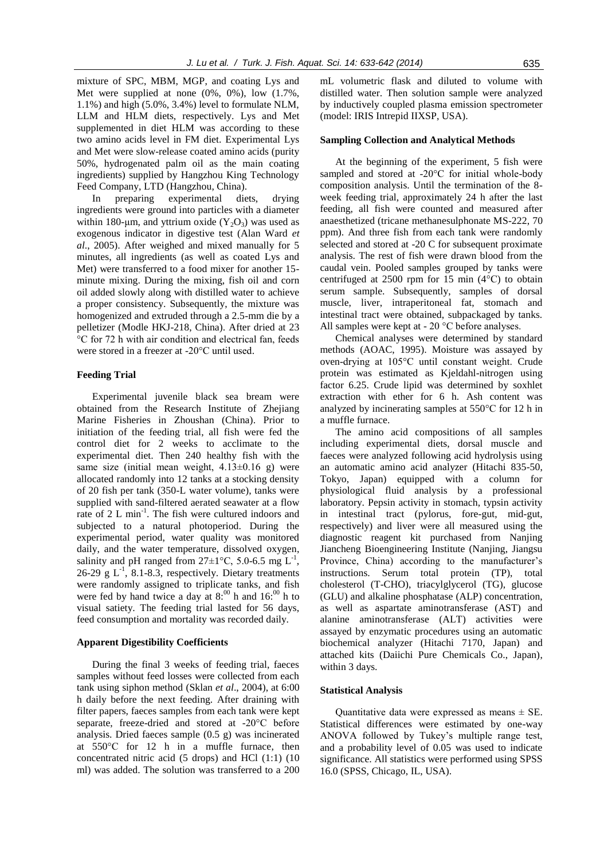mixture of SPC, MBM, MGP, and coating Lys and Met were supplied at none (0%, 0%), low (1.7%, 1.1%) and high (5.0%, 3.4%) level to formulate NLM, LLM and HLM diets, respectively. Lys and Met supplemented in diet HLM was according to these two amino acids level in FM diet. Experimental Lys and Met were slow-release coated amino acids (purity 50%, hydrogenated palm oil as the main coating ingredients) supplied by Hangzhou King Technology Feed Company, LTD (Hangzhou, China).

In preparing experimental diets, drying ingredients were ground into particles with a diameter within 180-µm, and yttrium oxide  $(Y_2O_3)$  was used as exogenous indicator in digestive test (Alan Ward *et al*., 2005). After weighed and mixed manually for 5 minutes, all ingredients (as well as coated Lys and Met) were transferred to a food mixer for another 15 minute mixing. During the mixing, fish oil and corn oil added slowly along with distilled water to achieve a proper consistency. Subsequently, the mixture was homogenized and extruded through a 2.5-mm die by a pelletizer (Modle HKJ-218, China). After dried at 23 °C for 72 h with air condition and electrical fan, feeds were stored in a freezer at -20°C until used.

## **Feeding Trial**

Experimental juvenile black sea bream were obtained from the Research Institute of Zhejiang Marine Fisheries in Zhoushan (China). Prior to initiation of the feeding trial, all fish were fed the control diet for 2 weeks to acclimate to the experimental diet. Then 240 healthy fish with the same size (initial mean weight,  $4.13\pm0.16$  g) were allocated randomly into 12 tanks at a stocking density of 20 fish per tank (350-L water volume), tanks were supplied with sand-filtered aerated seawater at a flow rate of 2 L min<sup>-1</sup>. The fish were cultured indoors and subjected to a natural photoperiod. During the experimental period, water quality was monitored daily, and the water temperature, dissolved oxygen, salinity and pH ranged from  $27 \pm 1^{\circ}$ C, 5.0-6.5 mg L<sup>-1</sup>,  $26-29$  g L<sup>-1</sup>, 8.1-8.3, respectively. Dietary treatments were randomly assigned to triplicate tanks, and fish were fed by hand twice a day at  $8:00$  h and  $16:00$  h to visual satiety. The feeding trial lasted for 56 days, feed consumption and mortality was recorded daily.

#### **Apparent Digestibility Coefficients**

During the final 3 weeks of feeding trial, faeces samples without feed losses were collected from each tank using siphon method (Sklan *et al*[., 2004\)](#page-8-7), at 6:00 h daily before the next feeding. After draining with filter papers, faeces samples from each tank were kept separate, freeze-dried and stored at -20°C before analysis. Dried faeces sample (0.5 g) was incinerated at 550°C for 12 h in a muffle furnace, then concentrated nitric acid (5 drops) and HCl (1:1) (10 ml) was added. The solution was transferred to a 200

mL volumetric flask and diluted to volume with distilled water. Then solution sample were analyzed by inductively coupled plasma emission spectrometer (model: IRIS Intrepid IIXSP, USA).

#### **Sampling Collection and Analytical Methods**

At the beginning of the experiment, 5 fish were sampled and stored at -20°C for initial whole-body composition analysis. Until the termination of the 8 week feeding trial, approximately 24 h after the last feeding, all fish were counted and measured after anaesthetized (tricane methanesulphonate MS-222, 70 ppm). And three fish from each tank were randomly selected and stored at -20 C for subsequent proximate analysis. The rest of fish were drawn blood from the caudal vein. Pooled samples grouped by tanks were centrifuged at 2500 rpm for 15 min (4°C) to obtain serum sample. Subsequently, samples of dorsal muscle, liver, intraperitoneal fat, stomach and intestinal tract were obtained, subpackaged by tanks. All samples were kept at - 20 °C before analyses.

Chemical analyses were determined by standard methods [\(AOAC, 1995\)](#page-7-7). Moisture was assayed by oven-drying at 105°C until constant weight. Crude protein was estimated as Kjeldahl-nitrogen using factor 6.25. Crude lipid was determined by soxhlet extraction with ether for 6 h. Ash content was analyzed by incinerating samples at 550°C for 12 h in a muffle furnace.

The amino acid compositions of all samples including experimental diets, dorsal muscle and faeces were analyzed following acid hydrolysis using an automatic amino acid analyzer (Hitachi 835-50, Tokyo, Japan) equipped with a column for physiological fluid analysis by a professional laboratory. Pepsin activity in stomach, typsin activity in intestinal tract (pylorus, fore-gut, mid-gut, respectively) and liver were all measured using the diagnostic reagent kit purchased from Nanjing Jiancheng Bioengineering Institute (Nanjing, Jiangsu Province, China) according to the manufacturer's instructions. Serum total protein (TP), total cholesterol (T-CHO), triacylglycerol (TG), glucose (GLU) and alkaline phosphatase (ALP) concentration, as well as aspartate aminotransferase (AST) and alanine aminotransferase (ALT) activities were assayed by enzymatic procedures using an automatic biochemical analyzer (Hitachi 7170, Japan) and attached kits (Daiichi Pure Chemicals Co., Japan), within 3 days.

# **Statistical Analysis**

Quantitative data were expressed as means  $\pm$  SE. Statistical differences were estimated by one-way ANOVA followed by Tukey's multiple range test, and a probability level of 0.05 was used to indicate significance. All statistics were performed using SPSS 16.0 (SPSS, Chicago, IL, USA).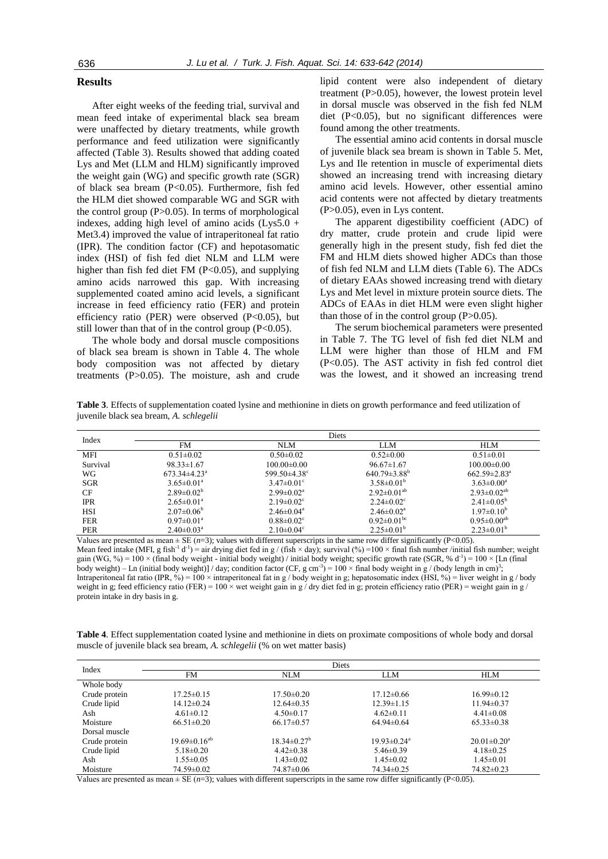#### **Results**

After eight weeks of the feeding trial, survival and mean feed intake of experimental black sea bream were unaffected by dietary treatments, while growth performance and feed utilization were significantly affected (Table 3). Results showed that adding coated Lys and Met (LLM and HLM) significantly improved the weight gain (WG) and specific growth rate (SGR) of black sea bream (P<0.05). Furthermore, fish fed the HLM diet showed comparable WG and SGR with the control group  $(P>0.05)$ . In terms of morphological indexes, adding high level of amino acids  $(Lys5.0 +$ Met3.4) improved the value of intraperitoneal fat ratio (IPR). The condition factor (CF) and hepotasomatic index (HSI) of fish fed diet NLM and LLM were higher than fish fed diet FM  $(P<0.05)$ , and supplying amino acids narrowed this gap. With increasing supplemented coated amino acid levels, a significant increase in feed efficiency ratio (FER) and protein efficiency ratio (PER) were observed  $(P<0.05)$ , but still lower than that of in the control group  $(P<0.05)$ .

The whole body and dorsal muscle compositions of black sea bream is shown in Table 4. The whole body composition was not affected by dietary treatments (P>0.05). The moisture, ash and crude lipid content were also independent of dietary treatment (P>0.05), however, the lowest protein level in dorsal muscle was observed in the fish fed NLM diet (P<0.05), but no significant differences were found among the other treatments.

The essential amino acid contents in dorsal muscle of juvenile black sea bream is shown in Table 5. Met, Lys and Ile retention in muscle of experimental diets showed an increasing trend with increasing dietary amino acid levels. However, other essential amino acid contents were not affected by dietary treatments (P>0.05), even in Lys content.

The apparent digestibility coefficient (ADC) of dry matter, crude protein and crude lipid were generally high in the present study, fish fed diet the FM and HLM diets showed higher ADCs than those of fish fed NLM and LLM diets (Table 6). The ADCs of dietary EAAs showed increasing trend with dietary Lys and Met level in mixture protein source diets. The ADCs of EAAs in diet HLM were even slight higher than those of in the control group  $(P>0.05)$ .

The serum biochemical parameters were presented in Table 7. The TG level of fish fed diet NLM and LLM were higher than those of HLM and FM (P<0.05). The AST activity in fish fed control diet was the lowest, and it showed an increasing trend

**Table 3**. Effects of supplementation coated lysine and methionine in diets on growth performance and feed utilization of juvenile black sea bream, *A. schlegelii*

| Index      |                         |                              | Diets                        |                                |
|------------|-------------------------|------------------------------|------------------------------|--------------------------------|
|            | <b>FM</b>               | NLM                          | LLM                          | HI M                           |
| MFI        | $0.51 \pm 0.02$         | $0.50 \pm 0.02$              | $0.52 \pm 0.00$              | $0.51 \pm 0.01$                |
| Survival   | $98.33 \pm 1.67$        | $100.00 \pm 0.00$            | $96.67 \pm 1.67$             | $100.00 \pm 0.00$              |
| WG         | $673.34\pm4.23^{\circ}$ | 599.50 $\pm$ 4.38°           | $640.79 \pm 3.88^{\circ}$    | $662.59 \pm 2.83$ <sup>a</sup> |
| SGR        | $3.65 \pm 0.01^a$       | $3.47 \pm 0.01$ °            | $3.58\pm0.01^{b}$            | $3.63 \pm 0.00^a$              |
| <b>CF</b>  | $2.89 \pm 0.02^b$       | $2.99 \pm 0.02^a$            | $2.92 \pm 0.01^{ab}$         | $2.93 \pm 0.02^{ab}$           |
| <b>IPR</b> | $2.65 \pm 0.01^a$       | $2.19 \pm 0.02$ <sup>c</sup> | $2.24 \pm 0.02$ <sup>c</sup> | $2.41 \pm 0.05^{\circ}$        |
| HSI        | $2.07\pm0.06^{\circ}$   | $2.46 \pm 0.04$ <sup>a</sup> | $2.46 \pm 0.02$ <sup>a</sup> | $1.97 \pm 0.10^{\circ}$        |
| <b>FER</b> | $0.97 \pm 0.01^a$       | $0.88 \pm 0.02$ <sup>c</sup> | $0.92 \pm 0.01^{\rm bc}$     | $0.95 \pm 0.00^{ab}$           |
| <b>PER</b> | $2.40\pm0.03^{\circ}$   | $2.10\pm0.04^{\circ}$        | $2.25 \pm 0.01^b$            | $2.23\pm0.01^{b}$              |

Values are presented as mean  $\pm$  SE ( $n=3$ ); values with different superscripts in the same row differ significantly (P<0.05). Mean feed intake (MFI, g fish<sup>-1</sup> d<sup>-1</sup>) = air drying diet fed in g / (fish × day); survival (%) =100 × final fish number /initial fish number; weight gain (WG, %) =  $100 \times$  (final body weight - initial body weight) / initial body weight; specific growth rate (SGR, % d<sup>-1</sup>) =  $100 \times$  [Ln (final body weight) – Ln (initial body weight)] / day; condition factor (CF, g cm<sup>-3</sup>) = 100 × final body weight in g / (body length in cm)<sup>3</sup>; Intraperitoneal fat ratio (IPR, %) = 100 × intraperitoneal fat in g / body weight in g; hepatosomatic index (HSI, %) = liver weight in g / body weight in g; feed efficiency ratio (FER) =  $100 \times$  wet weight gain in g/dry diet fed in g; protein efficiency ratio (PER) = weight gain in g/ protein intake in dry basis in g.

**Table 4**. Effect supplementation coated lysine and methionine in diets on proximate compositions of whole body and dorsal muscle of juvenile black sea bream, *A. schlegelii* (% on wet matter basis)

| Index         |                       |                    | Diets                         |                               |
|---------------|-----------------------|--------------------|-------------------------------|-------------------------------|
|               | FM                    | <b>NLM</b>         | <b>LLM</b>                    | <b>HLM</b>                    |
| Whole body    |                       |                    |                               |                               |
| Crude protein | $17.25 \pm 0.15$      | $17.50 \pm 0.20$   | $17.12 \pm 0.66$              | $16.99 \pm 0.12$              |
| Crude lipid   | $14.12 \pm 0.24$      | $12.64 \pm 0.35$   | $12.39 \pm 1.15$              | $11.94 \pm 0.37$              |
| Ash           | $4.61 \pm 0.12$       | $4.50 \pm 0.17$    | $4.62 \pm 0.11$               | $4.41 \pm 0.08$               |
| Moisture      | $66.51 \pm 0.20$      | $66.17 \pm 0.57$   | $64.94\pm0.64$                | $65.33 \pm 0.38$              |
| Dorsal muscle |                       |                    |                               |                               |
| Crude protein | $19.69 \pm 0.16^{ab}$ | $18.34 \pm 0.27^b$ | $19.93 \pm 0.24$ <sup>a</sup> | $20.01 \pm 0.20$ <sup>a</sup> |
| Crude lipid   | $5.18 \pm 0.20$       | $4.42 \pm 0.38$    | $5.46 \pm 0.39$               | $4.18 \pm 0.25$               |
| Ash           | $1.55 \pm 0.05$       | $1.43 \pm 0.02$    | $1.45 \pm 0.02$               | $1.45 \pm 0.01$               |
| Moisture      | 74.59±0.02            | 74.87±0.06         | 74.34±0.25                    | $74.82 \pm 0.23$              |

Values are presented as mean  $\pm$  SE ( $n=3$ ); values with different superscripts in the same row differ significantly (P<0.05).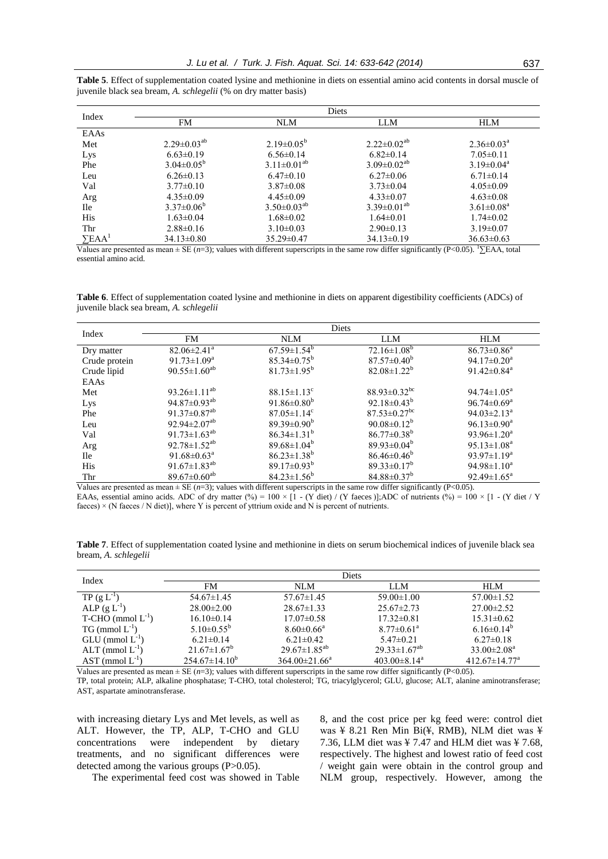|                           |                      |                         | Diets                |                            |
|---------------------------|----------------------|-------------------------|----------------------|----------------------------|
| Index                     | <b>FM</b>            | <b>NLM</b>              | <b>LLM</b>           | <b>HLM</b>                 |
| EAAs                      |                      |                         |                      |                            |
| Met                       | $2.29 \pm 0.03^{ab}$ | $2.19 \pm 0.05^{\circ}$ | $2.22 \pm 0.02^{ab}$ | $2.36 \pm 0.03^{\text{a}}$ |
| Lys                       | $6.63 \pm 0.19$      | $6.56 \pm 0.14$         | $6.82 \pm 0.14$      | $7.05 \pm 0.11$            |
| Phe                       | $3.04 \pm 0.05^b$    | $3.11 \pm 0.01^{ab}$    | $3.09 \pm 0.02^{ab}$ | $3.19 \pm 0.04^a$          |
| Leu                       | $6.26 \pm 0.13$      | $6.47\pm0.10$           | $6.27\pm0.06$        | $6.71 \pm 0.14$            |
| Val                       | $3.77\pm0.10$        | $3.87\pm0.08$           | $3.73 \pm 0.04$      | $4.05 \pm 0.09$            |
| Arg                       | $4.35\pm0.09$        | $4.45\pm0.09$           | $4.33 \pm 0.07$      | $4.63 \pm 0.08$            |
| <b>Ile</b>                | $3.37 \pm 0.06^b$    | $3.50\pm0.03^{ab}$      | $3.39 \pm 0.01^{ab}$ | $3.61 \pm 0.08^a$          |
| <b>His</b>                | $1.63 \pm 0.04$      | $1.68 \pm 0.02$         | $1.64 \pm 0.01$      | $1.74 \pm 0.02$            |
| Thr                       | $2.88 \pm 0.16$      | $3.10\pm0.03$           | $2.90\pm0.13$        | $3.19 \pm 0.07$            |
| $\Sigma$ EAA <sup>1</sup> | $34.13 \pm 0.80$     | $35.29 \pm 0.47$        | $34.13 \pm 0.19$     | $36.63 \pm 0.63$           |

**Table 5**. Effect of supplementation coated lysine and methionine in diets on essential amino acid contents in dorsal muscle of juvenile black sea bream, *A. schlegelii* (% on dry matter basis)

Values are presented as mean ± SE (*n*=3); values with different superscripts in the same row differ significantly (P<0.05). <sup>1</sup>∑EAA, total essential amino acid.

**Table 6**. Effect of supplementation coated lysine and methionine in diets on apparent digestibility coefficients (ADCs) of juvenile black sea bream, *A. schlegelii*

| Index         |                                | Diets                         |                                |                               |
|---------------|--------------------------------|-------------------------------|--------------------------------|-------------------------------|
|               | <b>FM</b>                      | <b>NLM</b>                    | <b>LLM</b>                     | <b>HLM</b>                    |
| Dry matter    | $82.06 \pm 2.41$ <sup>a</sup>  | $67.59 \pm 1.54^b$            | $72.16 \pm 1.08^b$             | $86.73 \pm 0.86^a$            |
| Crude protein | 91.73 $\pm$ 1.09 <sup>a</sup>  | $85.34 \pm 0.75^{\circ}$      | $87.57 \pm 0.40^b$             | 94.17 $\pm$ 0.20 <sup>a</sup> |
| Crude lipid   | 90.55 $\pm$ 1.60 <sup>ab</sup> | $81.73 \pm 1.95^b$            | $82.08 \pm 1.22^b$             | 91.42 $\pm$ 0.84 <sup>a</sup> |
| EAAs          |                                |                               |                                |                               |
| Met           | 93.26 $\pm$ 1.11 <sup>ab</sup> | $88.15 \pm 1.13$ <sup>c</sup> | $88.93 \pm 0.32$ <sup>bc</sup> | $94.74 \pm 1.05^{\text{a}}$   |
| Lys           | 94.87 $\pm$ 0.93 <sup>ab</sup> | 91.86 $\pm$ 0.80 <sup>b</sup> | $92.18 \pm 0.43^b$             | $96.74 \pm 0.69^{\mathrm{a}}$ |
| Phe           | 91.37 $\pm$ 0.87 <sup>ab</sup> | $87.05 \pm 1.14$ <sup>c</sup> | $87.53 \pm 0.27$ <sup>bc</sup> | 94.03 $\pm$ 2.13 <sup>a</sup> |
| Leu           | 92.94 $\pm$ 2.07 <sup>ab</sup> | 89.39 $\pm$ 0.90 <sup>b</sup> | $90.08 \pm 0.12^b$             | $96.13 \pm 0.90^a$            |
| Val           | 91.73 $\pm$ 1.63 <sup>ab</sup> | $86.34 \pm 1.31^b$            | $86.77 \pm 0.38^b$             | $93.96 \pm 1.20^a$            |
| Arg           | 92.78 $\pm$ 1.52 <sup>ab</sup> | $89.68 \pm 1.04^b$            | $89.93\pm0.04^b$               | $95.13 \pm 1.08^a$            |
| <b>Ile</b>    | 91.68 $\pm$ 0.63 <sup>a</sup>  | $86.23 \pm 1.38^b$            | $86.46 \pm 0.46^{\circ}$       | $93.97 \pm 1.19^a$            |
| <b>His</b>    | 91.67 $\pm$ 1.83 <sup>ab</sup> | $89.17 \pm 0.93^{\rm b}$      | $89.33 \pm 0.17^b$             | $94.98 \pm 1.10^a$            |
| Thr           | 89.67 $\pm$ 0.60 <sup>ab</sup> | $84.23 \pm 1.56^b$            | $84.88 \pm 0.37^b$             | $92.49 \pm 1.65^{\text{a}}$   |

Values are presented as mean  $\pm$  SE ( $n=3$ ); values with different superscripts in the same row differ significantly (P<0.05). EAAs, essential amino acids. ADC of dry matter (%) = 100 ×  $[1 - (Y \text{ diet}) / (Y \text{ faces})]$ ;ADC of nutrients (%) = 100 ×  $[1 - (Y \text{ diet} / Y \text{ ]})]$ faeces)  $\times$  (N faeces / N diet)], where Y is percent of yttrium oxide and N is percent of nutrients.

**Table 7**. Effect of supplementation coated lysine and methionine in diets on serum biochemical indices of juvenile black sea bream, *A. schlegelii*

| Index                    |                       | Diets                   |                                |                      |
|--------------------------|-----------------------|-------------------------|--------------------------------|----------------------|
|                          | FM                    | NLM                     | <b>LLM</b>                     | <b>HLM</b>           |
| $TP(g L^{-1})$           | $54.67 \pm 1.45$      | $57.67 \pm 1.45$        | $59.00 \pm 1.00$               | $57.00 \pm 1.52$     |
| $ALP$ (g $L^{-1}$ )      | $28.00 \pm 2.00$      | $28.67 \pm 1.33$        | $25.67 \pm 2.73$               | $27.00 \pm 2.52$     |
| $T-CHO$ (mmol $L^{-1}$ ) | $16.10\pm0.14$        | $17.07\pm0.58$          | $17.32 \pm 0.81$               | $15.31 \pm 0.62$     |
| $TG \, (mmol \, L^{-1})$ | $5.10\pm0.55^{\rm b}$ | $8.60 \pm 0.66^{\circ}$ | $8.77 \pm 0.61$ <sup>a</sup>   | $6.16\pm0.14^b$      |
| $GLU$ (mmol $L^{-1}$ )   | $6.21 \pm 0.14$       | $6.21 \pm 0.42$         | $5.47 \pm 0.21$                | $6.27 \pm 0.18$      |
| $ALT$ (mmol $L^{-1}$ )   | $21.67 \pm 1.67^b$    | $29.67 \pm 1.85^{ab}$   | $29.33 \pm 1.67^{ab}$          | $33.00 \pm 2.08^a$   |
| $AST$ (mmol $L^{-1}$ )   | $254.67\pm14.10^{b}$  | $364.00 \pm 21.66^a$    | $403.00 \pm 8.14$ <sup>a</sup> | $412.67 \pm 14.77^a$ |

Values are presented as mean  $\pm$  SE ( $n=3$ ); values with different superscripts in the same row differ significantly (P<0.05).

TP, total protein; ALP, alkaline phosphatase; T-CHO, total cholesterol; TG, triacylglycerol; GLU, glucose; ALT, alanine aminotransferase; AST, aspartate aminotransferase.

with increasing dietary Lys and Met levels, as well as ALT. However, the TP, ALP, T-CHO and GLU concentrations were independent by dietary treatments, and no significant differences were detected among the various groups (P>0.05).

The experimental feed cost was showed in Table

8, and the cost price per kg feed were: control diet was ¥ 8.21 Ren Min Bi(¥, RMB), NLM diet was ¥ 7.36, LLM diet was  $\frac{1}{2}$  7.47 and HLM diet was  $\frac{1}{2}$  7.68, respectively. The highest and lowest ratio of feed cost / weight gain were obtain in the control group and NLM group, respectively. However, among the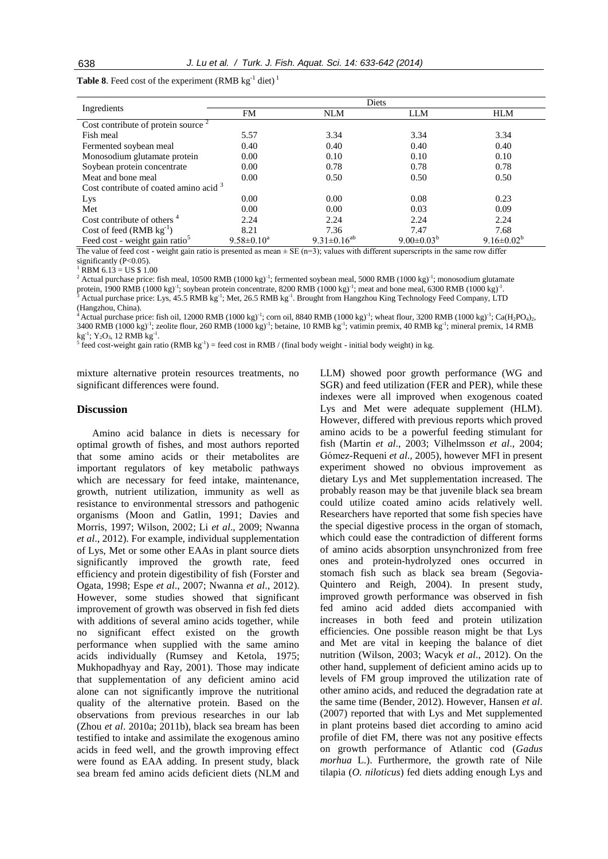|  |  |  |  | <b>Table 8.</b> Feed cost of the experiment (RMB $kg^{-1}$ diet) <sup>1</sup> |  |  |  |
|--|--|--|--|-------------------------------------------------------------------------------|--|--|--|
|--|--|--|--|-------------------------------------------------------------------------------|--|--|--|

|                                            |                   | Diets                         |                              |                              |
|--------------------------------------------|-------------------|-------------------------------|------------------------------|------------------------------|
| Ingredients                                | FM                | <b>NLM</b>                    | <b>LLM</b>                   | <b>HLM</b>                   |
| Cost contribute of protein source $2$      |                   |                               |                              |                              |
| Fish meal                                  | 5.57              | 3.34                          | 3.34                         | 3.34                         |
| Fermented soybean meal                     | 0.40              | 0.40                          | 0.40                         | 0.40                         |
| Monosodium glutamate protein               | 0.00              | 0.10                          | 0.10                         | 0.10                         |
| Soybean protein concentrate                | 0.00              | 0.78                          | 0.78                         | 0.78                         |
| Meat and bone meal                         | 0.00              | 0.50                          | 0.50                         | 0.50                         |
| Cost contribute of coated amino acid $3$   |                   |                               |                              |                              |
| Lys                                        | 0.00              | 0.00                          | 0.08                         | 0.23                         |
| Met                                        | 0.00              | 0.00                          | 0.03                         | 0.09                         |
| Cost contribute of others <sup>4</sup>     | 2.24              | 2.24                          | 2.24                         | 2.24                         |
| Cost of feed $(RMB kg^{-1})$               | 8.21              | 7.36                          | 7.47                         | 7.68                         |
| Feed cost - weight gain ratio <sup>5</sup> | $9.58 \pm 0.10^a$ | 9.31 $\pm$ 0.16 <sup>ab</sup> | 9.00 $\pm$ 0.03 <sup>b</sup> | 9.16 $\pm$ 0.02 <sup>b</sup> |

The value of feed cost - weight gain ratio is presented as mean  $\pm$  SE (n=3); values with different superscripts in the same row differ significantly (P<0.05).

 $RRM 6.13 = US $1.00$ 

<sup>2</sup> Actual purchase price: fish meal, 10500 RMB (1000 kg)<sup>-1</sup>; fermented soybean meal, 5000 RMB (1000 kg)<sup>-1</sup>; monosodium glutamate protein, 1900 RMB  $(1000 \text{ kg})^{-1}$ ; soybean protein concentrate, 8200 RMB  $(1000 \text{ kg})^{-1}$ ; meat and bone meal, 6300 RMB  $(1000 \text{ kg})^{-1}$ . <sup>3</sup> Actual purchase price: Lys, 45.5 RMB kg<sup>-1</sup>; Met, 26.5 RMB kg<sup>-1</sup>. Brought from Hangzhou King Technology Feed Company, LTD

(Hangzhou, China).

<sup>4</sup> Actual purchase price: fish oil, 12000 RMB (1000 kg)<sup>-1</sup>; corn oil, 8840 RMB (1000 kg)<sup>-1</sup>; wheat flour, 3200 RMB (1000 kg)<sup>-1</sup>; Ca(H<sub>2</sub>PO<sub>4</sub>)<sub>2</sub>,  $3400$  RMB  $(1000 \text{ kg})^{-1}$ ; zeolite flour, 260 RMB  $(1000 \text{ kg})^{-1}$ ; betaine, 10 RMB kg<sup>-1</sup>; vatimin premix, 40 RMB kg<sup>-1</sup>; mineral premix, 14 RMB

 $kg^{-1}$ ; Y<sub>2</sub>O<sub>3</sub>, 12 RMB kg<sup>-1</sup>.<br><sup>5</sup> feed cost-weight gain ratio (RMB kg<sup>-1</sup>) = feed cost in RMB / (final body weight - initial body weight) in kg.

mixture alternative protein resources treatments, no significant differences were found.

## **Discussion**

Amino acid balance in diets is necessary for optimal growth of fishes, and most authors reported that some amino acids or their metabolites are important regulators of key metabolic pathways which are necessary for feed intake, maintenance, growth, nutrient utilization, immunity as well as resistance to environmental stressors and pathogenic organisms [\(Moon and Gatlin, 1991;](#page-8-8) [Davies and](#page-7-2)  [Morris,](#page-7-2) 1997; [Wilson, 2002;](#page-9-2) Li *et al*[., 2009;](#page-8-9) [Nwanna](#page-8-10)  *et al*[., 2012\)](#page-8-10). For example, individual supplementation of Lys, Met or some other EAAs in plant source diets significantly improved the growth rate, feed efficiency and protein digestibility of fish [\(Forster and](#page-7-8)  [Ogata, 1998;](#page-7-8) Espe *et al*[., 2007;](#page-7-9) [Nwanna](#page-8-10) *et al*., 2012). However, some studies showed that significant improvement of growth was observed in fish fed diets with additions of several amino acids together, while no significant effect existed on the growth performance when supplied with the same amino acids individually [\(Rumsey and Ketola, 1975;](#page-8-11) [Mukhopadhyay and Ray, 2001\)](#page-8-12). Those may indicate that supplementation of any deficient amino acid alone can not significantly improve the nutritional quality of the alternative protein. Based on the observations from previous researches in our lab (Zhou *et al*. 2010a; [2011b](#page-9-3)), black sea bream has been testified to intake and assimilate the exogenous amino acids in feed well, and the growth improving effect were found as EAA adding. In present study, black sea bream fed amino acids deficient diets (NLM and LLM) showed poor growth performance (WG and SGR) and feed utilization (FER and PER), while these indexes were all improved when exogenous coated Lys and Met were adequate supplement (HLM). However, differed with previous reports which proved amino acids to be a powerful feeding stimulant for fish [\(Martin](#page-8-13) *et al*., 2003; [Vilhelmsson](#page-9-4) *et al*., 2004; [Gómez-Requeni](#page-7-10) *et al*., 2005), however MFI in present experiment showed no obvious improvement as dietary Lys and Met supplementation increased. The probably reason may be that juvenile black sea bream could utilize coated amino acids relatively well. Researchers have reported that some fish species have the special digestive process in the organ of stomach, which could ease the contradiction of different forms of amino acids absorption unsynchronized from free ones and protein-hydrolyzed ones occurred in stomach fish such as black sea bream [\(Segovia-](#page-8-14)[Quintero and Reigh, 2004\)](#page-8-14). In present study, improved growth performance was observed in fish fed amino acid added diets accompanied with increases in both feed and protein utilization efficiencies. One possible reason might be that Lys and Met are vital in keeping the balance of diet nutrition [\(Wilson, 2003;](#page-9-5) [Wacyk](#page-9-6) *et al*., 2012). On the other hand, supplement of deficient amino acids up to levels of FM group improved the utilization rate of other amino acids, and reduced the degradation rate at the same time [\(Bender, 2012\)](#page-7-11). However, Hansen *et al*. [\(2007\)](#page-8-15) reported that with Lys and Met supplemented in plant proteins based diet according to amino acid profile of diet FM, there was not any positive effects on growth performance of Atlantic cod (*Gadus morhua* L.). Furthermore, the growth rate of Nile tilapia (*O. niloticus*) fed diets adding enough Lys and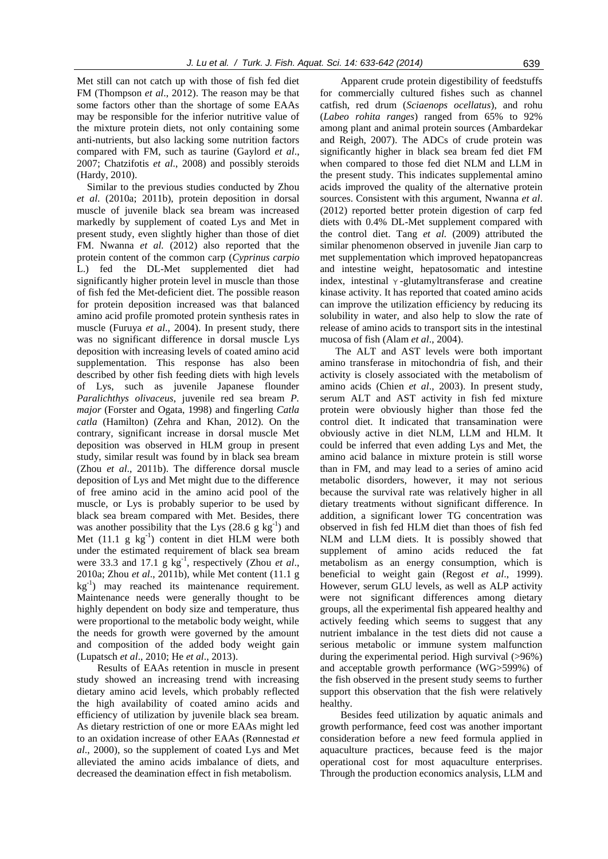Met still can not catch up with those of fish fed diet FM [\(Thompson](#page-8-16) *et al*., 2012). The reason may be that some factors other than the shortage of some EAAs may be responsible for the inferior nutritive value of the mixture protein diets, not only containing some anti-nutrients, but also lacking some nutrition factors compared with FM, such as taurine [\(Gaylord](#page-8-17) *et al*., [2007;](#page-8-17) [Chatzifotis](#page-7-12) *et al*., 2008) and possibly steroids [\(Hardy, 2010\)](#page-8-18).

Similar to the previous studies conducted by Zhou *et al*. (2010a; [2011b](#page-9-3)), protein deposition in dorsal muscle of juvenile black sea bream was increased markedly by supplement of coated Lys and Met in present study, even slightly higher than those of diet FM. Nwanna *et al.* [\(2012\)](#page-8-10) also reported that the protein content of the common carp (*Cyprinus carpio* L.) fed the DL-Met supplemented diet had significantly higher protein level in muscle than those of fish fed the Met-deficient diet. The possible reason for protein deposition increased was that balanced amino acid profile promoted protein synthesis rates in muscle [\(Furuya](#page-7-13) *et al*., 2004). In present study, there was no significant difference in dorsal muscle Lys deposition with increasing levels of coated amino acid supplementation. This response has also been described by other fish feeding diets with high levels of Lys, such as juvenile Japanese flounder *Paralichthys olivaceus*, juvenile red sea bream *P. major* (Forster and Ogata, 1998) and fingerling *Catla catla* (Hamilton) [\(Zehra and Khan, 2012\)](#page-9-7). On the contrary, significant increase in dorsal muscle Met deposition was observed in HLM group in present study, similar result was found by in black sea bream (Zhou *et al*[., 2011b](#page-9-3)). The difference dorsal muscle deposition of Lys and Met might due to the difference of free amino acid in the amino acid pool of the muscle, or Lys is probably superior to be used by black sea bream compared with Met. Besides, there was another possibility that the Lys  $(28.6 g kg<sup>-1</sup>)$  and Met  $(11.1 \text{ g kg}^{-1})$  content in diet HLM were both under the estimated requirement of black sea bream were 33.3 and 17.1  $g \text{ kg}^{-1}$ , respectively (Zhou *et al.*, 2010a; Zhou *et al*., 2011b), while Met content (11.1 g kg-1 ) may reached its maintenance requirement. Maintenance needs were generally thought to be highly dependent on body size and temperature, thus were proportional to the metabolic body weight, while the needs for growth were governed by the amount and composition of the added body weight gain [\(Lupatsch](#page-8-19) *et al*., 2010; He *et al*[., 2013\)](#page-8-20).

Results of EAAs retention in muscle in present study showed an increasing trend with increasing dietary amino acid levels, which probably reflected the high availability of coated amino acids and efficiency of utilization by juvenile black sea bream. As dietary restriction of one or more EAAs might led to an oxidation increase of other EAAs [\(Rønnestad](#page-8-21) *et al*[., 2000\)](#page-8-21), so the supplement of coated Lys and Met alleviated the amino acids imbalance of diets, and decreased the deamination effect in fish metabolism.

Apparent crude protein digestibility of feedstuffs for commercially cultured fishes such as channel catfish, red drum (*Sciaenops ocellatus*), and rohu (*Labeo rohita ranges*) ranged from 65% to 92% among plant and animal protein sources [\(Ambardekar](#page-7-0)  [and Reigh, 2007\)](#page-7-0). The ADCs of crude protein was significantly higher in black sea bream fed diet FM when compared to those fed diet NLM and LLM in the present study. This indicates supplemental amino acids improved the quality of the alternative protein sources. Consistent with this argument, Nwanna *et al*. [\(2012\)](#page-8-10) reported better protein digestion of carp fed diets with 0.4% DL-Met supplement compared with the control diet. Tang *et al.* [\(2009\)](#page-8-22) attributed the similar phenomenon observed in juvenile Jian carp to met supplementation which improved hepatopancreas and intestine weight, hepatosomatic and intestine index, intestinal  $\gamma$ -glutamyltransferase and creatine kinase activity. It has reported that coated amino acids can improve the utilization efficiency by reducing its solubility in water, and also help to slow the rate of release of amino acids to transport sits in the intestinal mucosa of fish (Alam *et al*[., 2004\)](#page-7-14).

The ALT and AST levels were both important amino transferase in mitochondria of fish, and their activity is closely associated with the metabolism of amino acids (Chien *et al*[., 2003\)](#page-7-15). In present study, serum ALT and AST activity in fish fed mixture protein were obviously higher than those fed the control diet. It indicated that transamination were obviously active in diet NLM, LLM and HLM. It could be inferred that even adding Lys and Met, the amino acid balance in mixture protein is still worse than in FM, and may lead to a series of amino acid metabolic disorders, however, it may not serious because the survival rate was relatively higher in all dietary treatments without significant difference. In addition, a significant lower TG concentration was observed in fish fed HLM diet than thoes of fish fed NLM and LLM diets. It is possibly showed that supplement of amino acids reduced the fat metabolism as an energy consumption, which is beneficial to weight gain (Regost *et al*[., 1999\)](#page-8-23). However, serum GLU levels, as well as ALP activity were not significant differences among dietary groups, all the experimental fish appeared healthy and actively feeding which seems to suggest that any nutrient imbalance in the test diets did not cause a serious metabolic or immune system malfunction during the experimental period. High survival (>96%) and acceptable growth performance (WG>599%) of the fish observed in the present study seems to further support this observation that the fish were relatively healthy.

Besides feed utilization by aquatic animals and growth performance, feed cost was another important consideration before a new feed formula applied in aquaculture practices, because feed is the major operational cost for most aquaculture enterprises. Through the production economics analysis, LLM and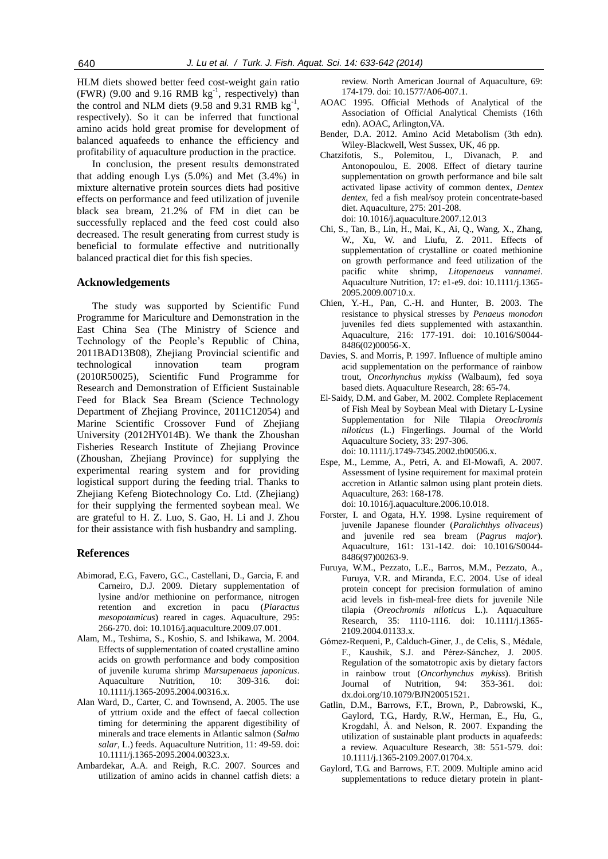HLM diets showed better feed cost-weight gain ratio  $(FWR)$  (9.00 and 9.16 RMB  $kg^{-1}$ , respectively) than the control and NLM diets  $(9.58 \text{ and } 9.31 \text{ RMB kg}^{-1})$ , respectively). So it can be inferred that functional amino acids hold great promise for development of balanced aquafeeds to enhance the efficiency and profitability of aquaculture production in the practice.

In conclusion, the present results demonstrated that adding enough Lys (5.0%) and Met (3.4%) in mixture alternative protein sources diets had positive effects on performance and feed utilization of juvenile black sea bream, 21.2% of FM in diet can be successfully replaced and the feed cost could also decreased. The result generating from currest study is beneficial to formulate effective and nutritionally balanced practical diet for this fish species.

## **Acknowledgements**

The study was supported by Scientific Fund Programme for Mariculture and Demonstration in the East China Sea (The Ministry of Science and Technology of the People's Republic of China, 2011BAD13B08), Zhejiang Provincial scientific and technological innovation team program (2010R50025), Scientific Fund Programme for Research and Demonstration of Efficient Sustainable Feed for Black Sea Bream (Science Technology Department of Zhejiang Province, 2011C12054) and Marine Scientific Crossover Fund of Zhejiang University (2012HY014B). We thank the Zhoushan Fisheries Research Institute of Zhejiang Province (Zhoushan, Zhejiang Province) for supplying the experimental rearing system and for providing logistical support during the feeding trial. Thanks to Zhejiang Kefeng Biotechnology Co. Ltd. (Zhejiang) for their supplying the fermented soybean meal. We are grateful to H. Z. Luo, S. Gao, H. Li and J. Zhou for their assistance with fish husbandry and sampling.

# **References**

- <span id="page-7-1"></span>Abimorad, E.G., Favero, G.C., Castellani, D., Garcia, F. and Carneiro, D.J. 2009. Dietary supplementation of lysine and/or methionine on performance, nitrogen retention and excretion in pacu (*Piaractus mesopotamicus*) reared in cages. Aquaculture, 295: 266-270. doi: 10.1016/j.aquaculture.2009.07.001.
- <span id="page-7-14"></span>Alam, M., Teshima, S., Koshio, S. and Ishikawa, M. 2004. Effects of supplementation of coated crystalline amino acids on growth performance and body composition of juvenile kuruma shrimp *Marsupenaeus japonicus*. Aquaculture Nutrition, 10: 309-316. doi: 10.1111/j.1365-2095.2004.00316.x.
- Alan Ward, D., Carter, C. and Townsend, A. 2005. The use of yttrium oxide and the effect of faecal collection timing for determining the apparent digestibility of minerals and trace elements in Atlantic salmon (*Salmo salar*, L.) feeds. Aquaculture Nutrition, 11: 49-59. doi: 10.1111/j.1365-2095.2004.00323.x.
- <span id="page-7-0"></span>Ambardekar, A.A. and Reigh, R.C. 2007. Sources and utilization of amino acids in channel catfish diets: a

review. North American Journal of Aquaculture, 69: 174-179. doi: 10.1577/A06-007.1.

- <span id="page-7-7"></span>AOAC 1995. Official Methods of Analytical of the Association of Official Analytical Chemists (16th edn). AOAC, Arlington,VA.
- <span id="page-7-11"></span>Bender, D.A. 2012. Amino Acid Metabolism (3th edn). Wiley-Blackwell, West Sussex, UK, 46 pp.
- <span id="page-7-12"></span>Chatzifotis, S., Polemitou, I., Divanach, P. and Antonopoulou, E. 2008. Effect of dietary taurine supplementation on growth performance and bile salt activated lipase activity of common dentex, *Dentex dentex*, fed a fish meal/soy protein concentrate-based diet. Aquaculture, 275: 201-208. doi: 10.1016/j.aquaculture.2007.12.013
- <span id="page-7-5"></span>Chi, S., Tan, B., Lin, H., Mai, K., Ai, Q., Wang, X., Zhang, W., Xu, W. and Liufu, Z. 2011. Effects of supplementation of crystalline or coated methionine on growth performance and feed utilization of the pacific white shrimp, *Litopenaeus vannamei*. Aquaculture Nutrition, 17: e1-e9. doi: 10.1111/j.1365- 2095.2009.00710.x.
- <span id="page-7-15"></span>Chien, Y.-H., Pan, C.-H. and Hunter, B. 2003. The resistance to physical stresses by *Penaeus monodon* juveniles fed diets supplemented with astaxanthin. Aquaculture, 216: 177-191. doi: 10.1016/S0044- 8486(02)00056-X.
- <span id="page-7-2"></span>Davies, S. and Morris, P. 1997. Influence of multiple amino acid supplementation on the performance of rainbow trout, *Oncorhynchus mykiss* (Walbaum), fed soya based diets. Aquaculture Research, 28: 65-74.
- <span id="page-7-4"></span>El‐Saidy, D.M. and Gaber, M. 2002. Complete Replacement of Fish Meal by Soybean Meal with Dietary L‐Lysine Supplementation for Nile Tilapia *Oreochromis niloticus* (L.) Fingerlings. Journal of the World Aquaculture Society, 33: 297-306. doi: 10.1111/j.1749-7345.2002.tb00506.x.
- <span id="page-7-9"></span>Espe, M., Lemme, A., Petri, A. and El-Mowafi, A. 2007. Assessment of lysine requirement for maximal protein accretion in Atlantic salmon using plant protein diets. Aquaculture, 263: 168-178. doi: 10.1016/j.aquaculture.2006.10.018.
- <span id="page-7-8"></span>Forster, I. and Ogata, H.Y. 1998. Lysine requirement of juvenile Japanese flounder (*Paralichthys olivaceus*) and juvenile red sea bream (*Pagrus major*). Aquaculture, 161: 131-142. doi: 10.1016/S0044- 8486(97)00263-9.
- <span id="page-7-13"></span>Furuya, W.M., Pezzato, L.E., Barros, M.M., Pezzato, A., Furuya, V.R. and Miranda, E.C. 2004. Use of ideal protein concept for precision formulation of amino acid levels in fish‐meal‐free diets for juvenile Nile tilapia (*Oreochromis niloticus* L.). Aquaculture Research, 35: 1110-1116. doi: 10.1111/j.1365- 2109.2004.01133.x.
- <span id="page-7-10"></span>Gómez-Requeni, P., Calduch-Giner, J., de Celis, S., Médale, F., Kaushik, S.J. and Pérez-Sánchez, J. 2005. Regulation of the somatotropic axis by dietary factors in rainbow trout (*Oncorhynchus mykiss*). British Journal of Nutrition, 94: 353-361. doi: dx.doi.org/10.1079/BJN20051521.
- <span id="page-7-6"></span>Gatlin, D.M., Barrows, F.T., Brown, P., Dabrowski, K., Gaylord, T.G., Hardy, R.W., Herman, E., Hu, G., Krogdahl, Å. and Nelson, R. 2007. Expanding the utilization of sustainable plant products in aquafeeds: a review. Aquaculture Research, 38: 551-579. doi: 10.1111/j.1365-2109.2007.01704.x.
- <span id="page-7-3"></span>Gaylord, T.G. and Barrows, F.T. 2009. Multiple amino acid supplementations to reduce dietary protein in plant-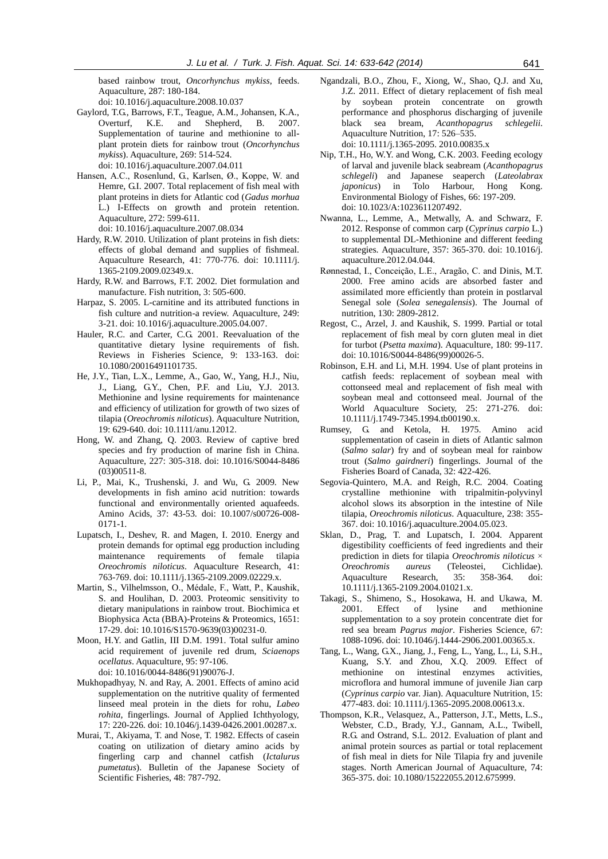based rainbow trout, *Oncorhynchus mykiss*, feeds. Aquaculture, 287: 180-184.

doi: 10.1016/j.aquaculture.2008.10.037

- <span id="page-8-17"></span>Gaylord, T.G., Barrows, F.T., Teague, A.M., Johansen, K.A., Overturf, K.E. and Shepherd, B. 2007. Supplementation of taurine and methionine to allplant protein diets for rainbow trout (*Oncorhynchus mykiss*). Aquaculture, 269: 514-524. doi: 10.1016/j.aquaculture.2007.04.011
- <span id="page-8-15"></span>Hansen, A.C., Rosenlund, G., Karlsen, Ø., Koppe, W. and Hemre, G.I. 2007. Total replacement of fish meal with plant proteins in diets for Atlantic cod (*Gadus morhua* L.) I-Effects on growth and protein retention. Aquaculture, 272: 599-611.
- <span id="page-8-18"></span>doi: 10.1016/j.aquaculture.2007.08.034 Hardy, R.W. 2010. Utilization of plant proteins in fish diets: effects of global demand and supplies of fishmeal.
- Aquaculture Research, 41: 770-776. doi: 10.1111/j. 1365-2109.2009.02349.x.
- Hardy, R.W. and Barrows, F.T. 2002. Diet formulation and manufacture. Fish nutrition, 3: 505-600.
- <span id="page-8-3"></span>Harpaz, S. 2005. L-carnitine and its attributed functions in fish culture and nutrition-a review. Aquaculture, 249: 3-21. doi: 10.1016/j.aquaculture.2005.04.007.
- <span id="page-8-4"></span>Hauler, R.C. and Carter, C.G. 2001. Reevaluation of the quantitative dietary lysine requirements of fish. Reviews in Fisheries Science, 9: 133-163. doi: 10.1080/20016491101735.
- <span id="page-8-20"></span>He, J.Y., Tian, L.X., Lemme, A., Gao, W., Yang, H.J., Niu, J., Liang, G.Y., Chen, P.F. and Liu, Y.J. 2013. Methionine and lysine requirements for maintenance and efficiency of utilization for growth of two sizes of tilapia (*Oreochromis niloticus*). Aquaculture Nutrition, 19: 629-640. doi: 10.1111/anu.12012.
- <span id="page-8-6"></span>Hong, W. and Zhang, Q. 2003. Review of captive bred species and fry production of marine fish in China. Aquaculture, 227: 305-318. doi: 10.1016/S0044-8486 (03)00511-8.
- <span id="page-8-9"></span>Li, P., Mai, K., Trushenski, J. and Wu, G. 2009. New developments in fish amino acid nutrition: towards functional and environmentally oriented aquafeeds. Amino Acids, 37: 43-53. doi: 10.1007/s00726-008- 0171-1.
- <span id="page-8-19"></span>Lupatsch, I., Deshev, R. and Magen, I. 2010. Energy and protein demands for optimal egg production including maintenance requirements of female tilapia *Oreochromis niloticus*. Aquaculture Research, 41: 763-769. doi: 10.1111/j.1365-2109.2009.02229.x.
- <span id="page-8-13"></span>Martin, S., Vilhelmsson, O., Médale, F., Watt, P., Kaushik, S. and Houlihan, D. 2003. Proteomic sensitivity to dietary manipulations in rainbow trout. Biochimica et Biophysica Acta (BBA)-Proteins & Proteomics, 1651: 17-29. doi: 10.1016/S1570-9639(03)00231-0.
- <span id="page-8-8"></span>Moon, H.Y. and Gatlin, III D.M. 1991. Total sulfur amino acid requirement of juvenile red drum, *Sciaenops ocellatus*. Aquaculture, 95: 97-106. doi: 10.1016/0044-8486(91)90076-J.
- <span id="page-8-12"></span>Mukhopadhyay, N. and Ray, A. 2001. Effects of amino acid supplementation on the nutritive quality of fermented linseed meal protein in the diets for rohu, *Labeo rohita*, fingerlings. Journal of Applied Ichthyology, 17: 220-226. doi: 10.1046/j.1439-0426.2001.00287.x.
- <span id="page-8-2"></span>Murai, T., Akiyama, T. and Nose, T. 1982. Effects of casein coating on utilization of dietary amino acids by fingerling carp and channel catfish (*Ictalurus pumetatus*). Bulletin of the Japanese Society of Scientific Fisheries, 48: 787-792.
- Ngandzali, B.O., Zhou, F., Xiong, W., Shao, Q.J. and Xu, J.Z. 2011. Effect of dietary replacement of fish meal by soybean protein concentrate on growth performance and phosphorus discharging of juvenile black sea bream, *Acanthopagrus schlegelii*. Aquaculture Nutrition, 17: 526–535. doi: 10.1111/j.1365-2095. 2010.00835.x
- <span id="page-8-5"></span>Nip, T.H., Ho, W.Y. and Wong, C.K. 2003. Feeding ecology of larval and juvenile black seabream (*Acanthopagrus schlegeli*) and Japanese seaperch (*Lateolabrax japonicus*) in Tolo Harbour, Hong Kong. Environmental Biology of Fishes, 66: 197-209. doi: 10.1023/A:1023611207492.
- <span id="page-8-10"></span>Nwanna, L., Lemme, A., Metwally, A. and Schwarz, F. 2012. Response of common carp (*Cyprinus carpio* L.) to supplemental DL-Methionine and different feeding strategies. Aquaculture, 357: 365-370. doi: 10.1016/j. aquaculture.2012.04.044.
- <span id="page-8-21"></span>Rønnestad, I., Conceição, L.E., Aragão, C. and Dinis, M.T. 2000. Free amino acids are absorbed faster and assimilated more efficiently than protein in postlarval Senegal sole (*Solea senegalensis*). The Journal of nutrition, 130: 2809-2812.
- <span id="page-8-23"></span>Regost, C., Arzel, J. and Kaushik, S. 1999. Partial or total replacement of fish meal by corn gluten meal in diet for turbot (*Psetta maxima*). Aquaculture, 180: 99-117. doi: 10.1016/S0044-8486(99)00026-5.
- <span id="page-8-1"></span>Robinson, E.H. and Li, M.H. 1994. Use of plant proteins in catfish feeds: replacement of soybean meal with cottonseed meal and replacement of fish meal with soybean meal and cottonseed meal. Journal of the World Aquaculture Society, 25: 271-276. doi: 10.1111/j.1749-7345.1994.tb00190.x.
- <span id="page-8-11"></span>Rumsey, G. and Ketola, H. 1975. Amino acid supplementation of casein in diets of Atlantic salmon (*Salmo salar*) fry and of soybean meal for rainbow trout (*Salmo gairdneri*) fingerlings. Journal of the Fisheries Board of Canada, 32: 422-426.
- <span id="page-8-14"></span>Segovia-Quintero, M.A. and Reigh, R.C. 2004. Coating crystalline methionine with tripalmitin-polyvinyl alcohol slows its absorption in the intestine of Nile tilapia, *Oreochromis niloticus*. Aquaculture, 238: 355- 367. doi: 10.1016/j.aquaculture.2004.05.023.
- <span id="page-8-7"></span>Sklan, D., Prag, T. and Lupatsch, I. 2004. Apparent digestibility coefficients of feed ingredients and their prediction in diets for tilapia *Oreochromis niloticus* × *Oreochromis aureus* (Teleostei, Cichlidae). Aquaculture Research, 35: 358-364. doi: 10.1111/j.1365-2109.2004.01021.x.
- <span id="page-8-0"></span>Takagi, S., Shimeno, S., Hosokawa, H. and Ukawa, M. 2001. Effect of lysine and methionine supplementation to a soy protein concentrate diet for red sea bream *Pagrus major*. Fisheries Science, 67: 1088-1096. doi: 10.1046/j.1444-2906.2001.00365.x.
- <span id="page-8-22"></span>Tang, L., Wang, G.X., Jiang, J., Feng, L., Yang, L., Li, S.H., Kuang, S.Y. and Zhou, X.Q. 2009. Effect of methionine on intestinal enzymes activities, microflora and humoral immune of juvenile Jian carp (*Cyprinus carpio* var. Jian). Aquaculture Nutrition, 15: 477-483. doi: 10.1111/j.1365-2095.2008.00613.x.
- <span id="page-8-16"></span>Thompson, K.R., Velasquez, A., Patterson, J.T., Metts, L.S., Webster, C.D., Brady, Y.J., Gannam, A.L., Twibell, R.G. and Ostrand, S.L. 2012. Evaluation of plant and animal protein sources as partial or total replacement of fish meal in diets for Nile Tilapia fry and juvenile stages. North American Journal of Aquaculture, 74: 365-375. doi: 10.1080/15222055.2012.675999.